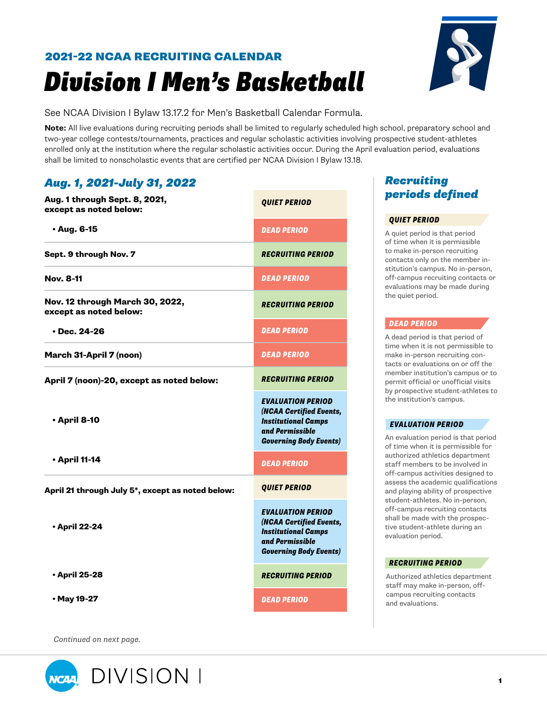# *Division I Men's Basketball* 2021-22 NCAA RECRUITING CALENDAR



See NCAA Division I Bylaw 13.17.2 for Men's Basketball Calendar Formula.

**Note:** All live evaluations during recruiting periods shall be limited to regularly scheduled high school, preparatory school and two-year college contests/tournaments, practices and regular scholastic activities involving prospective student-athletes enrolled only at the institution where the regular scholastic activities occur. During the April evaluation period, evaluations shall be limited to nonscholastic events that are certified per NCAA Division I Bylaw 13.18.

## *Aug. 1, 2021-July 31, 2022*

| Aug. 1 through Sept. 8, 2021,<br>except as noted below:   | <b>QUIET PERIOD</b>                                                                                                                   |
|-----------------------------------------------------------|---------------------------------------------------------------------------------------------------------------------------------------|
| $\cdot$ Aug. 6-15                                         | <b>DEAD PERIOD</b>                                                                                                                    |
| Sept. 9 through Nov. 7                                    | <b>RECRUITING PERIOD</b>                                                                                                              |
| <b>Nov. 8-11</b>                                          | DEAD PERIOD                                                                                                                           |
| Nov. 12 through March 30, 2022,<br>except as noted below: | <b>RECRUITING PERIOD</b>                                                                                                              |
| $\cdot$ Dec. 24-26                                        | <b>DEAD PERIOD</b>                                                                                                                    |
| March 31-April 7 (noon)                                   | <b>DEAD PERIOD</b>                                                                                                                    |
| April 7 (noon)-20, except as noted below:                 | <b>RECRUITING PERIOD</b>                                                                                                              |
| <b>• April 8-10</b>                                       | <b>EVALUATION PERIOD</b><br>(NCAA Certified Events,<br><b>Institutional Camps</b><br>and Permissible<br><b>Governing Body Events)</b> |
| <b>• April 11-14</b>                                      | <b>DEAD PERIOD</b>                                                                                                                    |
| April 21 through July 5*, except as noted below:          | <b>QUIET PERIOD</b>                                                                                                                   |
| • April 22-24                                             | <b>EVALUATION PERIOD</b><br>(NCAA Certified Events,<br><b>Institutional Camps</b><br>and Permissible<br><b>Governing Body Events)</b> |
| • April 25-28                                             | <b>RECRUITING PERIOD</b>                                                                                                              |
| • May 19-27                                               | <b>DEAD PERIOD</b>                                                                                                                    |

*Continued on next page.*



## *Recruiting periods defined*

## *QUIET PERIOD*

A quiet period is that period of time when it is permissible to make in-person recruiting contacts only on the member institution's campus. No in-person, off-campus recruiting contacts or evaluations may be made during the quiet period.

## *DEAD PERIOD*

A dead period is that period of time when it is not permissible to make in-person recruiting contacts or evaluations on or off the member institution's campus or to permit official or unofficial visits by prospective student-athletes to the institution's campus.

## *EVALUATION PERIOD*

An evaluation period is that period of time when it is permissible for authorized athletics department staff members to be involved in off-campus activities designed to assess the academic qualifications and playing ability of prospective student-athletes. No in-person, off-campus recruiting contacts shall be made with the prospective student-athlete during an evaluation period.

## *RECRUITING PERIOD*

Authorized athletics department staff may make in-person, offcampus recruiting contacts and evaluations.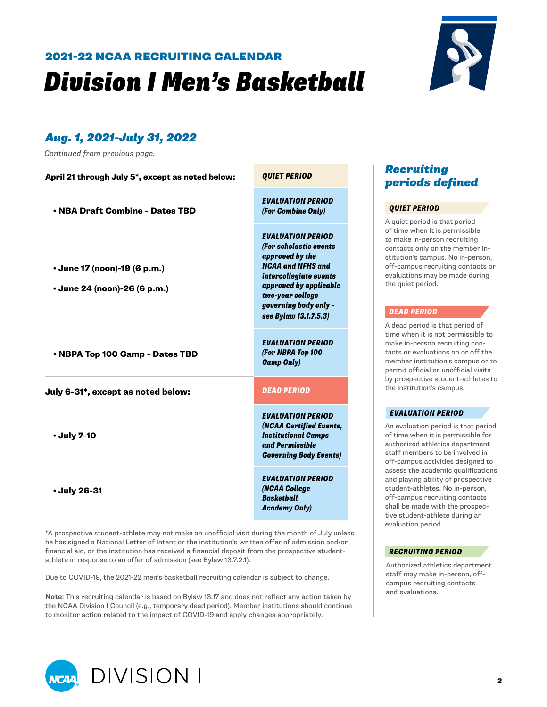## *Division I Men's Basketball* 2021-22 NCAA RECRUITING CALENDAR



## *Aug. 1, 2021-July 31, 2022*

*Continued from previous page.*

| April 21 through July 5*, except as noted below:             | <b>QUIET PERIOD</b>                                                                                                                                                                                                         |
|--------------------------------------------------------------|-----------------------------------------------------------------------------------------------------------------------------------------------------------------------------------------------------------------------------|
| • NBA Draft Combine - Dates TBD                              | <b>EVALUATION PERIOD</b><br>(For Combine Only)                                                                                                                                                                              |
| • June 17 (noon)-19 (6 p.m.)<br>• June 24 (noon)-26 (6 p.m.) | <b>EVALUATION PERIOD</b><br>(For scholastic events<br>approved by the<br><b>NCAA and NFHS and</b><br>intercollegiate events<br>approved by applicable<br>two-year college<br>governing body only -<br>see Bylaw 13.1.7.5.3) |
| • NBPA Top 100 Camp - Dates TBD                              | <b>EVALUATION PERIOD</b><br>(For NBPA Top 100<br><b>Camp Only)</b>                                                                                                                                                          |
| July 6-31*, except as noted below:                           | <b>DEAD PERIOD</b>                                                                                                                                                                                                          |
| • July 7-10                                                  | <b>EVALUATION PERIOD</b><br>(NCAA Certified Events,<br><b>Institutional Camps</b><br>and Permissible<br><b>Governing Body Events)</b>                                                                                       |
| • July 26-31                                                 | <b>EVALUATION PERIOD</b><br>(NCAA College<br><b>Basketball</b><br><b>Academy Only)</b>                                                                                                                                      |
|                                                              |                                                                                                                                                                                                                             |

\*A prospective student-athlete may not make an unofficial visit during the month of July unless he has signed a National Letter of Intent or the institution's written offer of admission and/or financial aid, or the institution has received a financial deposit from the prospective studentathlete in response to an offer of admission (see Bylaw 13.7.2.1).

Due to COVID-19, the 2021-22 men's basketball recruiting calendar is subject to change.

**Note**: This recruiting calendar is based on Bylaw 13.17 and does not reflect any action taken by the NCAA Division I Council (e.g., temporary dead period). Member institutions should continue to monitor action related to the impact of COVID-19 and apply changes appropriately.

## *Recruiting periods defined*

#### *QUIET PERIOD*

A quiet period is that period of time when it is permissible to make in-person recruiting contacts only on the member institution's campus. No in-person, off-campus recruiting contacts or evaluations may be made during the quiet period.

#### *DEAD PERIOD*

A dead period is that period of time when it is not permissible to make in-person recruiting contacts or evaluations on or off the member institution's campus or to permit official or unofficial visits by prospective student-athletes to the institution's campus.

#### *EVALUATION PERIOD*

An evaluation period is that period of time when it is permissible for authorized athletics department staff members to be involved in off-campus activities designed to assess the academic qualifications and playing ability of prospective student-athletes. No in-person, off-campus recruiting contacts shall be made with the prospective student-athlete during an evaluation period.

## *RECRUITING PERIOD*

Authorized athletics department staff may make in-person, offcampus recruiting contacts and evaluations.